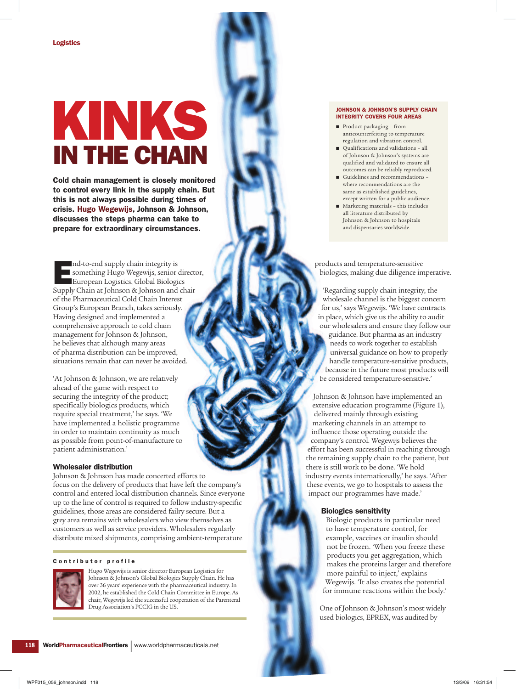# Kinks in the chain

Cold chain management is closely monitored to control every link in the supply chain. But this is not always possible during times of crisis. Hugo Wegewijs, Johnson & Johnson, discusses the steps pharma can take to prepare for extraordinary circumstances.

nd-to-end supply chain integrity is<br>something Hugo Wegewijs, senior<br>European Logistics, Global Biologie<br>Supply Chain at Johnson & Johnson and something Hugo Wegewijs, senior director, European Logistics, Global Biologics Supply Chain at Johnson & Johnson and chair of the Pharmaceutical Cold Chain Interest Group's European Branch, takes seriously. Having designed and implemented a comprehensive approach to cold chain management for Johnson & Johnson, he believes that although many areas of pharma distribution can be improved, situations remain that can never be avoided.

'At Johnson & Johnson, we are relatively ahead of the game with respect to securing the integrity of the product; specifically biologics products, which require special treatment,' he says. 'We have implemented a holistic programme in order to maintain continuity as much as possible from point-of-manufacture to patient administration.'

## Wholesaler distribution

Johnson & Johnson has made concerted efforts to focus on the delivery of products that have left the company's control and entered local distribution channels. Since everyone up to the line of control is required to follow industry-specific guidelines, those areas are considered failry secure. But a grey area remains with wholesalers who view themselves as customers as well as service providers. Wholesalers regularly distribute mixed shipments, comprising ambient-temperature

#### Contributor profile



Hugo Wegewijs is senior director European Logistics for Johnson & Johnson's Global Biologics Supply Chain. He has over 36 years' experience with the pharmaceutical industry. In 2002, he established the Cold Chain Committee in Europe. As chair, Wegewijs led the successful cooperation of the Parenteral Drug Association's PCCIG in the US.

#### Johnson & Johnson's supply chain integrity covers four areas

- Product packaging from anticounterfeiting to temperature regulation and vibration control.
- Qualifications and validations all of Johnson & Johnson's systems are qualified and validated to ensure all outcomes can be reliably reproduced.
- Guidelines and recommendations where recommendations are the same as established guidelines, except written for a public audience.
- Marketing materials this includes all literature distributed by Johnson & Johnson to hospitals and dispensaries worldwide.

products and temperature-sensitive biologics, making due diligence imperative.

'Regarding supply chain integrity, the wholesale channel is the biggest concern for us,' says Wegewijs. 'We have contracts in place, which give us the ability to audit our wholesalers and ensure they follow our guidance. But pharma as an industry needs to work together to establish universal guidance on how to properly handle temperature-sensitive products, because in the future most products will be considered temperature-sensitive.'

Johnson & Johnson have implemented an extensive education programme (Figure 1), delivered mainly through existing marketing channels in an attempt to influence those operating outside the company's control. Wegewijs believes the effort has been successful in reaching through the remaining supply chain to the patient, but there is still work to be done. 'We hold industry events internationally,' he says. 'After these events, we go to hospitals to assess the impact our programmes have made.'

## Biologics sensitivity

Biologic products in particular need to have temperature control, for example, vaccines or insulin should not be frozen. 'When you freeze these products you get aggregation, which makes the proteins larger and therefore more painful to inject,' explains Wegewijs. 'It also creates the potential for immune reactions within the body.'

One of Johnson & Johnson's most widely used biologics, EPREX, was audited by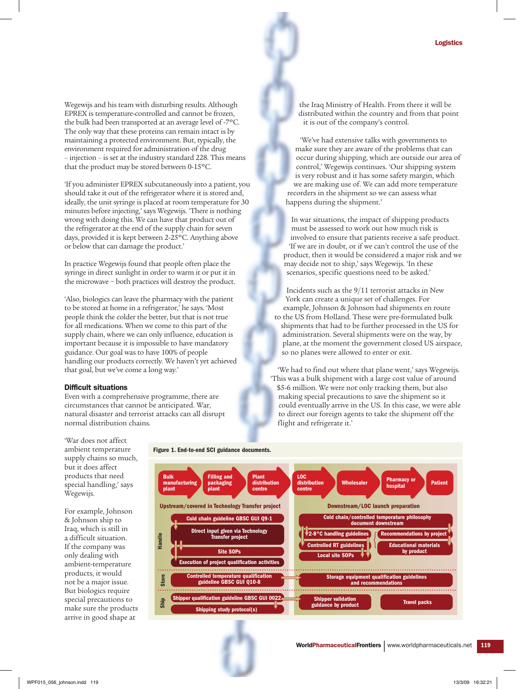Wegewijs and his team with disturbing results. Although EPREX is temperature-controlled and cannot be frozen, the bulk had been transported at an average level of -7ºC. The only way that these proteins can remain intact is by maintaining a protected environment. But, typically, the environment required for administration of the drug – injection – is set at the industry standard 228. This means that the product may be stored between 0-15ºC.

'If you administer EPREX subcutaneously into a patient, you should take it out of the refrigerator where it is stored and, ideally, the unit syringe is placed at room temperature for 30 minutes before injecting,' says Wegewijs. 'There is nothing wrong with doing this. We can have that product out of the refrigerator at the end of the supply chain for seven days, provided it is kept between 2-25ºC. Anything above or below that can damage the product.'

In practice Wegewijs found that people often place the syringe in direct sunlight in order to warm it or put it in the microwave − both practices will destroy the product.

'Also, biologics can leave the pharmacy with the patient to be stored at home in a refrigerator,' he says. 'Most people think the colder the better, but that is not true for all medications. When we come to this part of the supply chain, where we can only influence, education is important because it is impossible to have mandatory guidance. Our goal was to have 100% of people handling our products correctly. We haven't yet achieved that goal, but we've come a long way.'

#### Difficult situations

Even with a comprehensive programme, there are circumstances that cannot be anticipated. War, natural disaster and terrorist attacks can all disrupt normal distribution chains.

the Iraq Ministry of Health. From there it will be distributed within the country and from that point it is out of the company's control.

'We've had extensive talks with governments to make sure they are aware of the problems that can occur during shipping, which are outside our area of control,' Wegewijs continues. 'Our shipping system is very robust and it has some safety margin, which we are making use of. We can add more temperature recorders in the shipment so we can assess what happens during the shipment.'

In war situations, the impact of shipping products must be assessed to work out how much risk is involved to ensure that patients receive a safe product. 'If we are in doubt, or if we can't control the use of the product, then it would be considered a major risk and we may decide not to ship,' says Wegewijs. 'In these scenarios, specific questions need to be asked.'

Incidents such as the 9/11 terrorist attacks in New York can create a unique set of challenges. For example, Johnson & Johnson had shipments en route to the US from Holland. These were pre-formulated bulk shipments that had to be further processed in the US for administration. Several shipments were on the way, by plane, at the moment the government closed US airspace, so no planes were allowed to enter or exit.

'We had to find out where that plane went,' says Wegewijs. 'This was a bulk shipment with a large cost value of around \$5-6 million. We were not only tracking them, but also making special precautions to save the shipment so it could eventually arrive in the US. In this case, we were able to direct our foreign agents to take the shipment off the flight and refrigerate it.'

'War does not affect ambient temperature supply chains so much, but it does affect products that need special handling,' says Wegewijs.

For example, Johnson & Johnson ship to Iraq, which is still in a difficult situation. If the company was only dealing with ambient-temperature products, it would not be a major issue. But biologics require special precautions to make sure the products arrive in good shape at

Figure 1. End-to-end SCI guidance documents.